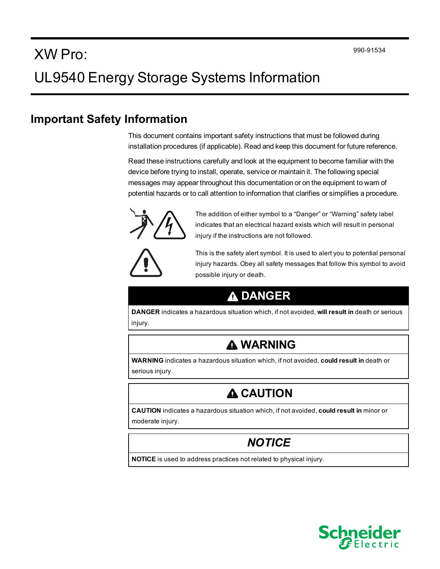# XW Pro: UL9540 Energy Storage Systems Information

#### **Important Safety Information**

This document contains important safety instructions that must be followed during installation procedures (if applicable). Read and keep this document for future reference.

Read these instructions carefully and look at the equipment to become familiar with the device before trying to install, operate, service or maintain it. The following special messages may appear throughout this documentation or on the equipment to warn of potential hazards or to call attention to information that clarifies or simplifies a procedure.



The addition of either symbol to a "Danger" or "Warning" safety label indicates that an electrical hazard exists which will result in personal injury if the instructions are not followed.



This is the safety alert symbol. It is used to alert you to potential personal injury hazards. Obey all safety messages that follow this symbol to avoid possible injury or death.

# **DANGER**

**DANGER** indicates a hazardous situation which, if not avoided, **will result in** death or serious injury.

### **WARNING**

**WARNING** indicates a hazardous situation which, if not avoided, **could result in** death or serious injury.

# **A CAUTION**

**CAUTION** indicates a hazardous situation which, if not avoided, **could result in** minor or moderate injury.

### *NOTICE*

**NOTICE** is used to address practices not related to physical injury.

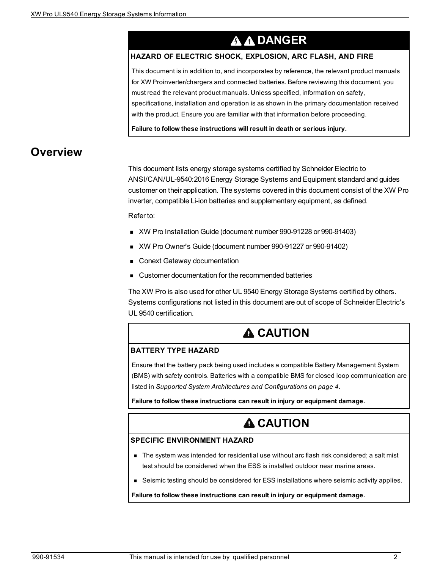# **A A DANGER**

#### **HAZARD OF ELECTRIC SHOCK, EXPLOSION, ARC FLASH, AND FIRE**

This document is in addition to, and incorporates by reference, the relevant product manuals for XW Proinverter/chargers and connected batteries. Before reviewing this document, you must read the relevant product manuals. Unless specified, information on safety, specifications, installation and operation is as shown in the primary documentation received with the product. Ensure you are familiar with that information before proceeding.

**Failure to follow these instructions will result in death or serious injury.**

### **Overview**

This document lists energy storage systems certified by Schneider Electric to ANSI/CAN/UL-9540:2016 Energy Storage Systems and Equipment standard and guides customer on their application. The systems covered in this document consist of the XW Pro inverter, compatible Li-ion batteries and supplementary equipment, as defined.

Refer to:

- **No. 2010 XW Pro Installation Guide (document number 990-91228 or 990-91403)**
- XW Pro Owner's Guide (document number 990-91227 or 990-91402)
- **n** Conext Gateway documentation
- <sup>n</sup> Customer documentation for the recommended batteries

The XW Pro is also used for other UL 9540 Energy Storage Systems certified by others. Systems configurations not listed in this document are out of scope of Schneider Electric's UL 9540 certification.

### **A** CAUTION

#### **BATTERY TYPE HAZARD**

Ensure that the battery pack being used includes a compatible Battery Management System (BMS) with safety controls. Batteries with a compatible BMS for closed loop communication are listed in *Supported System Architectures and [Configurations](#page-3-0) on page 4*.

**Failure to follow these instructions can result in injury or equipment damage.**

### **A CAUTION**

#### **SPECIFIC ENVIRONMENT HAZARD**

- n The system was intended for residential use without arc flash risk considered; a salt mist test should be considered when the ESS is installed outdoor near marine areas.
- n Seismic testing should be considered for ESS installations where seismic activity applies.

**Failure to follow these instructions can result in injury or equipment damage.**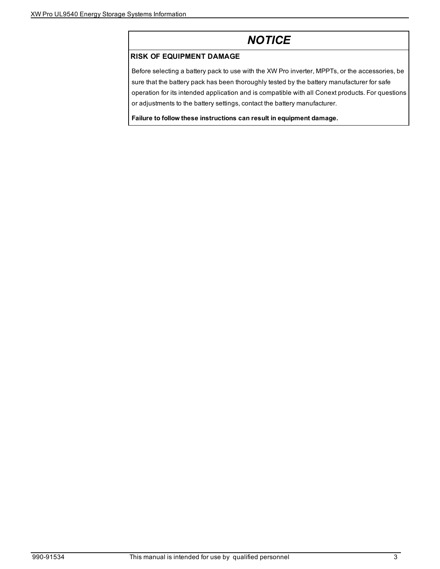## *NOTICE*

#### **RISK OF EQUIPMENT DAMAGE**

Before selecting a battery pack to use with the XW Pro inverter, MPPTs, or the accessories, be sure that the battery pack has been thoroughly tested by the battery manufacturer for safe operation for its intended application and is compatible with all Conext products. For questions or adjustments to the battery settings, contact the battery manufacturer.

**Failure to follow these instructions can result in equipment damage.**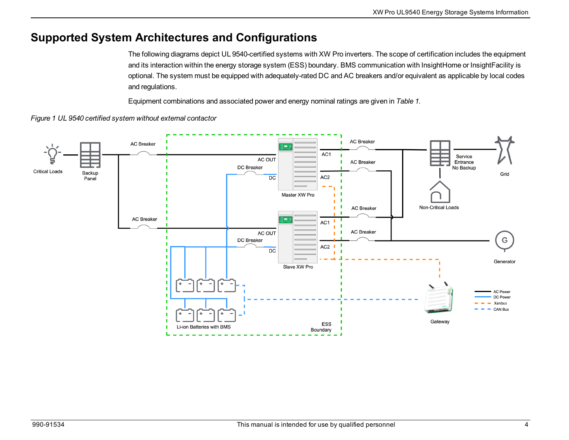### <span id="page-3-0"></span>**Supported System Architectures and Configurations**

The following diagrams depict UL 9540-certified systems with XW Pro inverters. The scope of certification includes the equipment and its interaction within the energy storage system (ESS) boundary. BMS communication with InsightHome or InsightFacility is optional. The system must be equipped with adequately-rated DC and AC breakers and/or equivalent as applicable by local codes and regulations.

Equipment combinations and associated power and energy nominal ratings are given in *[Table](#page-5-0) 1*.



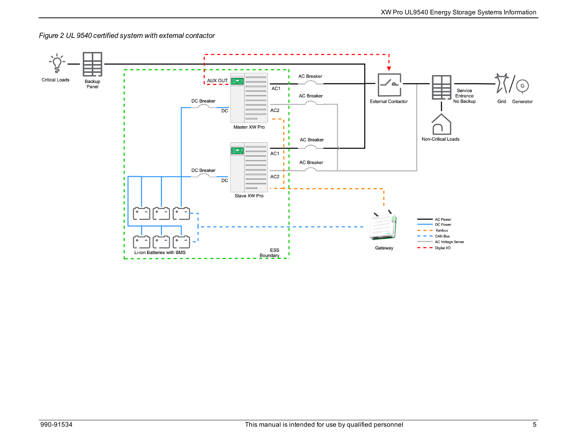

*Figure 2 UL 9540 certified system with external contactor*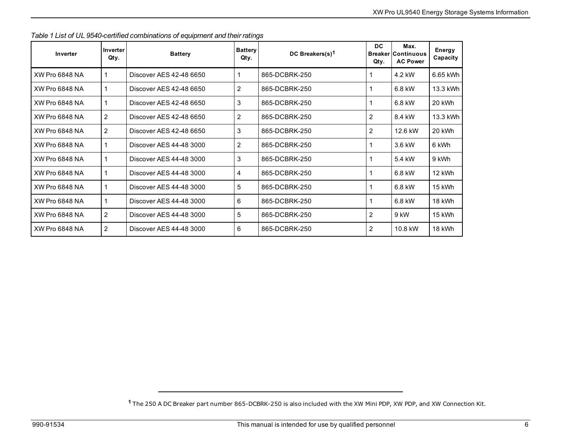| Inverter              | Inverter<br>Qty. | <b>Battery</b>          | <b>Battery</b><br>Qty. | DC Breakers(s) <sup>1</sup> | <b>DC</b><br>Qty. | Max.<br><b>Breaker Continuous</b><br><b>AC Power</b> | Energy<br>Capacity |
|-----------------------|------------------|-------------------------|------------------------|-----------------------------|-------------------|------------------------------------------------------|--------------------|
| <b>XW Pro 6848 NA</b> | 1                | Discover AES 42-48 6650 |                        | 865-DCBRK-250               |                   | 4.2 kW                                               | 6.65 kWh           |
| <b>XW Pro 6848 NA</b> | 1                | Discover AES 42-48 6650 | $\overline{c}$         | 865-DCBRK-250               |                   | 6.8 kW                                               | 13.3 kWh           |
| <b>XW Pro 6848 NA</b> | 1                | Discover AES 42-48 6650 | 3                      | 865-DCBRK-250               |                   | 6.8 kW                                               | 20 kWh             |
| <b>XW Pro 6848 NA</b> | 2                | Discover AES 42-48 6650 | $\overline{2}$         | 865-DCBRK-250               | 2                 | 8.4 kW                                               | 13.3 kWh           |
| <b>XW Pro 6848 NA</b> | 2                | Discover AES 42-48 6650 | 3                      | 865-DCBRK-250               | 2                 | 12.6 kW                                              | 20 kWh             |
| <b>XW Pro 6848 NA</b> | 1                | Discover AES 44-48 3000 | $\overline{2}$         | 865-DCBRK-250               |                   | 3.6 kW                                               | 6 kWh              |
| <b>XW Pro 6848 NA</b> | 1                | Discover AES 44-48 3000 | 3                      | 865-DCBRK-250               |                   | 5.4 kW                                               | 9 kWh              |
| XW Pro 6848 NA        | 1                | Discover AES 44-48 3000 | 4                      | 865-DCBRK-250               |                   | 6.8 kW                                               | 12 kWh             |
| <b>XW Pro 6848 NA</b> | 1                | Discover AES 44-48 3000 | 5                      | 865-DCBRK-250               |                   | 6.8 kW                                               | 15 kWh             |
| <b>XW Pro 6848 NA</b> | 1                | Discover AES 44-48 3000 | 6                      | 865-DCBRK-250               |                   | 6.8 kW                                               | 18 kWh             |
| <b>XW Pro 6848 NA</b> | 2                | Discover AFS 44-48 3000 | 5                      | 865-DCBRK-250               | $\overline{c}$    | 9 kW                                                 | 15 kWh             |
| <b>XW Pro 6848 NA</b> | $\overline{2}$   | Discover AES 44-48 3000 | 6                      | 865-DCBRK-250               | 2                 | 10.8 kW                                              | 18 kWh             |

<span id="page-5-0"></span>*Table 1 List of UL 9540-certified combinations of equipment and their ratings*

**<sup>1</sup>** The 250 A DC Breaker part number 865-DCBRK-250 is also included with the XW Mini PDP, XW PDP, and XW Connection Kit.